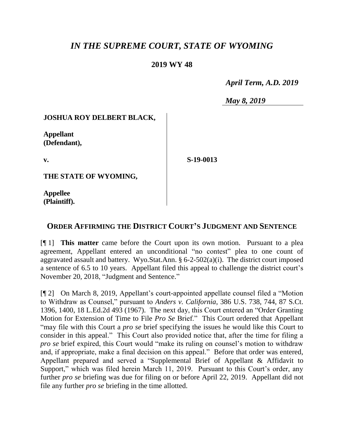# *IN THE SUPREME COURT, STATE OF WYOMING*

## **2019 WY 48**

 *April Term, A.D. 2019*

*May 8, 2019*

#### **JOSHUA ROY DELBERT BLACK,**

**Appellant (Defendant),**

**v.**

**S-19-0013**

**THE STATE OF WYOMING,** 

**Appellee (Plaintiff).**

### **ORDER AFFIRMING THE DISTRICT COURT'S JUDGMENT AND SENTENCE**

[¶ 1] **This matter** came before the Court upon its own motion. Pursuant to a plea agreement, Appellant entered an unconditional "no contest" plea to one count of aggravated assault and battery. Wyo.Stat.Ann.  $\S 6$ -2-502(a)(i). The district court imposed a sentence of 6.5 to 10 years. Appellant filed this appeal to challenge the district court's November 20, 2018, "Judgment and Sentence."

[¶ 2] On March 8, 2019, Appellant's court-appointed appellate counsel filed a "Motion to Withdraw as Counsel," pursuant to *Anders v. California*, 386 U.S. 738, 744, 87 S.Ct. 1396, 1400, 18 L.Ed.2d 493 (1967). The next day, this Court entered an "Order Granting Motion for Extension of Time to File *Pro Se* Brief." This Court ordered that Appellant "may file with this Court a *pro se* brief specifying the issues he would like this Court to consider in this appeal." This Court also provided notice that, after the time for filing a *pro se* brief expired, this Court would "make its ruling on counsel's motion to withdraw and, if appropriate, make a final decision on this appeal." Before that order was entered, Appellant prepared and served a "Supplemental Brief of Appellant & Affidavit to Support," which was filed herein March 11, 2019. Pursuant to this Court's order, any further *pro se* briefing was due for filing on or before April 22, 2019. Appellant did not file any further *pro se* briefing in the time allotted.